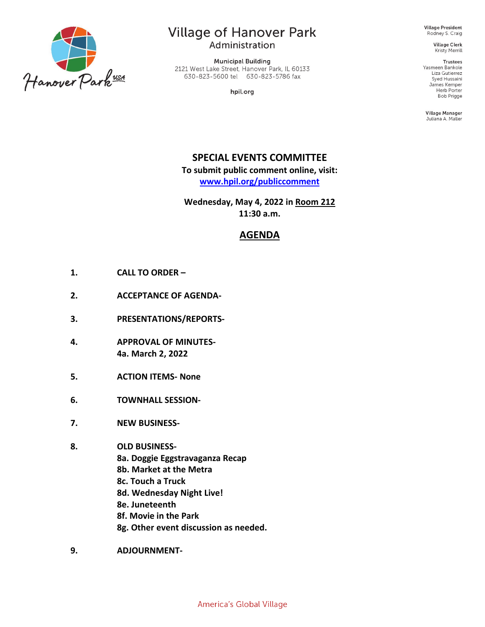

## **Village of Hanover Park**

Administration

**Municipal Building** 2121 West Lake Street, Hanover Park, IL 60133 630-823-5600 tel 630-823-5786 fax

hpil.org

Village President Rodney S. Craig

> **Village Clerk** Kristy Merrill

**Trustees** Yasmeen Bankole Liza Gutierrez Syed Hussaini James Kemper Herb Porter **Bob Prigge** 

Village Manager Juliana A. Maller

### **SPECIAL EVENTS COMMITTEE**

**To submit public comment online, visit: [www.hpil.org/publiccomment](https://www.hpil.org/publiccomment)**

**Wednesday, May 4, 2022 in Room 212 11:30 a.m.**

### **AGENDA**

- **1. CALL TO ORDER –**
- **2. ACCEPTANCE OF AGENDA-**
- **3. PRESENTATIONS/REPORTS-**
- **4. APPROVAL OF MINUTES-4a. March 2, 2022**
- **5. ACTION ITEMS- None**
- **6. TOWNHALL SESSION-**
- **7. NEW BUSINESS-**
- **8. OLD BUSINESS-**
	- **8a. Doggie Eggstravaganza Recap**
	- **8b. Market at the Metra**
	- **8c. Touch a Truck**
	- **8d. Wednesday Night Live!**
	- **8e. Juneteenth**
	- **8f. Movie in the Park**
	- **8g. Other event discussion as needed.**
- **9. ADJOURNMENT-**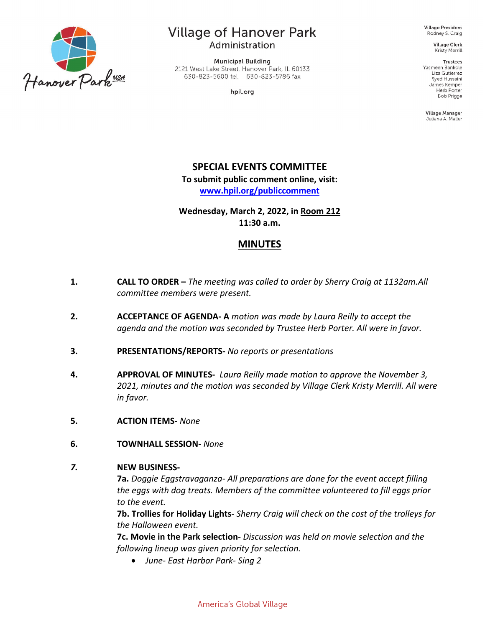

# **Village of Hanover Park**

Administration

**Municipal Building** 2121 West Lake Street, Hanover Park, IL 60133 630-823-5600 tel 630-823-5786 fax

hpil.org

**Village President** Rodney S. Craig

**Village Clerk** Kristy Merrill

**Trustees** Yasmeen Bankole Liza Gutierrez Syed Hussaini James Kemper Herb Porter Bob Prigge

Village Manager Juliana A. Maller

### **SPECIAL EVENTS COMMITTEE**

**To submit public comment online, visit: [www.hpil.org/publiccomment](https://www.hpil.org/publiccomment)**

**Wednesday, March 2, 2022, in Room 212 11:30 a.m.**

### **MINUTES**

- **1. CALL TO ORDER –** *The meeting was called to order by Sherry Craig at 1132am.All committee members were present.*
- **2. ACCEPTANCE OF AGENDA- A** *motion was made by Laura Reilly to accept the agenda and the motion was seconded by Trustee Herb Porter. All were in favor.*
- **3. PRESENTATIONS/REPORTS-** *No reports or presentations*
- **4. APPROVAL OF MINUTES-** *Laura Reilly made motion to approve the November 3, 2021, minutes and the motion was seconded by Village Clerk Kristy Merrill. All were in favor.*
- **5. ACTION ITEMS-** *None*
- **6. TOWNHALL SESSION-** *None*

#### *7.* **NEW BUSINESS-**

**7a.** *Doggie Eggstravaganza- All preparations are done for the event accept filling the eggs with dog treats. Members of the committee volunteered to fill eggs prior to the event.*

**7b. Trollies for Holiday Lights-** *Sherry Craig will check on the cost of the trolleys for the Halloween event.*

**7c. Movie in the Park selection-** *Discussion was held on movie selection and the following lineup was given priority for selection.* 

• *June- East Harbor Park- Sing 2*